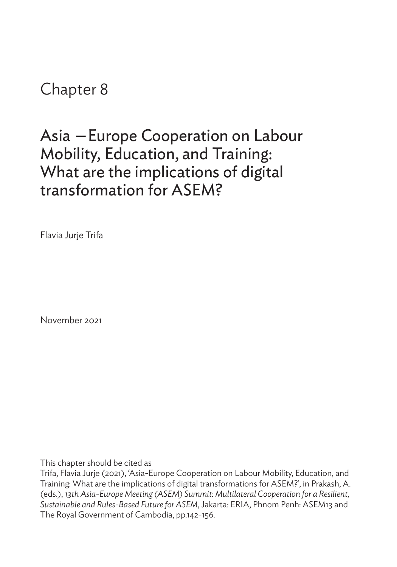## Chapter 8

# Asia —Europe Cooperation on Labour Mobility, Education, and Training: What are the implications of digital transformation for ASEM?

Flavia Jurje Trifa

November 2021

This chapter should be cited as

Trifa, Flavia Jurje (2021), 'Asia-Europe Cooperation on Labour Mobility, Education, and Training: What are the implications of digital transformations for ASEM?', in Prakash, A. (eds.), *13th Asia-Europe Meeting (ASEM) Summit: Multilateral Cooperation for a Resilient, Sustainable and Rules-Based Future for ASEM*, Jakarta: ERIA, Phnom Penh: ASEM13 and The Royal Government of Cambodia, pp.142-156.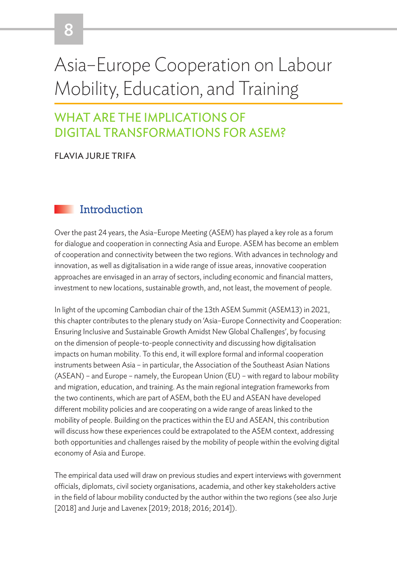# Asia–Europe Cooperation on Labour Mobility, Education, and Training

## WHAT ARE THE IMPLICATIONS OF DIGITAL TRANSFORMATIONS FOR ASEM?

#### FLAVIA JURJE TRIFA

8

#### **Introduction**

Over the past 24 years, the Asia–Europe Meeting (ASEM) has played a key role as a forum for dialogue and cooperation in connecting Asia and Europe. ASEM has become an emblem of cooperation and connectivity between the two regions. With advances in technology and innovation, as well as digitalisation in a wide range of issue areas, innovative cooperation approaches are envisaged in an array of sectors, including economic and financial matters, investment to new locations, sustainable growth, and, not least, the movement of people.

In light of the upcoming Cambodian chair of the 13th ASEM Summit (ASEM13) in 2021, this chapter contributes to the plenary study on 'Asia–Europe Connectivity and Cooperation: Ensuring Inclusive and Sustainable Growth Amidst New Global Challenges', by focusing on the dimension of people-to-people connectivity and discussing how digitalisation impacts on human mobility. To this end, it will explore formal and informal cooperation instruments between Asia – in particular, the Association of the Southeast Asian Nations (ASEAN) – and Europe – namely, the European Union (EU) – with regard to labour mobility and migration, education, and training. As the main regional integration frameworks from the two continents, which are part of ASEM, both the EU and ASEAN have developed different mobility policies and are cooperating on a wide range of areas linked to the mobility of people. Building on the practices within the EU and ASEAN, this contribution will discuss how these experiences could be extrapolated to the ASEM context, addressing both opportunities and challenges raised by the mobility of people within the evolving digital economy of Asia and Europe.

The empirical data used will draw on previous studies and expert interviews with government officials, diplomats, civil society organisations, academia, and other key stakeholders active in the field of labour mobility conducted by the author within the two regions (see also Jurje [2018] and Jurje and Lavenex [2019; 2018; 2016; 2014]).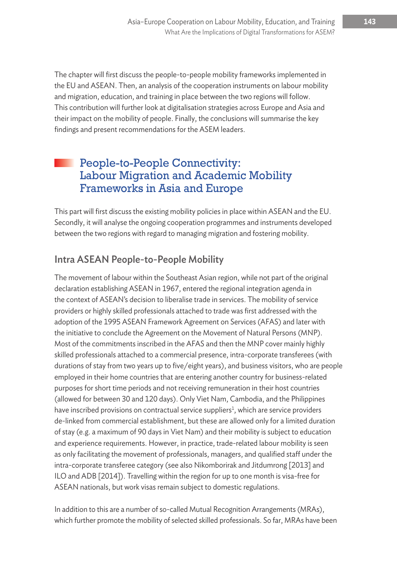The chapter will first discuss the people-to-people mobility frameworks implemented in the EU and ASEAN. Then, an analysis of the cooperation instruments on labour mobility and migration, education, and training in place between the two regions will follow. This contribution will further look at digitalisation strategies across Europe and Asia and their impact on the mobility of people. Finally, the conclusions will summarise the key findings and present recommendations for the ASEM leaders.

#### People-to-People Connectivity: Labour Migration and Academic Mobility Frameworks in Asia and Europe

This part will first discuss the existing mobility policies in place within ASEAN and the EU. Secondly, it will analyse the ongoing cooperation programmes and instruments developed between the two regions with regard to managing migration and fostering mobility.

#### Intra ASEAN People-to-People Mobility

The movement of labour within the Southeast Asian region, while not part of the original declaration establishing ASEAN in 1967, entered the regional integration agenda in the context of ASEAN's decision to liberalise trade in services. The mobility of service providers or highly skilled professionals attached to trade was first addressed with the adoption of the 1995 ASEAN Framework Agreement on Services (AFAS) and later with the initiative to conclude the Agreement on the Movement of Natural Persons (MNP). Most of the commitments inscribed in the AFAS and then the MNP cover mainly highly skilled professionals attached to a commercial presence, intra-corporate transferees (with durations of stay from two years up to five/eight years), and business visitors, who are people employed in their home countries that are entering another country for business-related purposes for short time periods and not receiving remuneration in their host countries (allowed for between 30 and 120 days). Only Viet Nam, Cambodia, and the Philippines have inscribed provisions on contractual service suppliers<sup>1</sup>, which are service providers de-linked from commercial establishment, but these are allowed only for a limited duration of stay (e.g. a maximum of 90 days in Viet Nam) and their mobility is subject to education and experience requirements. However, in practice, trade-related labour mobility is seen as only facilitating the movement of professionals, managers, and qualified staff under the intra-corporate transferee category (see also Nikomborirak and Jitdumrong [2013] and ILO and ADB [2014]). Travelling within the region for up to one month is visa-free for ASEAN nationals, but work visas remain subject to domestic regulations.

In addition to this are a number of so-called Mutual Recognition Arrangements (MRAs), which further promote the mobility of selected skilled professionals. So far, MRAs have been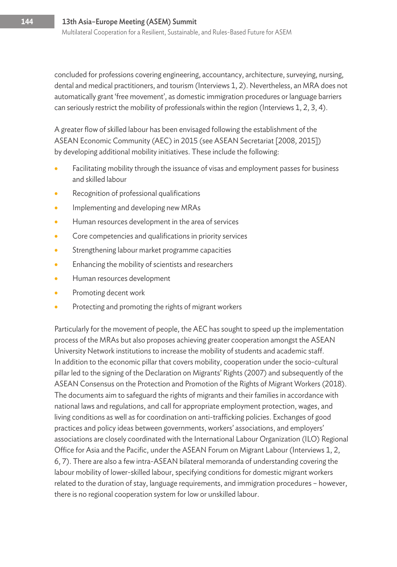concluded for professions covering engineering, accountancy, architecture, surveying, nursing, dental and medical practitioners, and tourism (Interviews 1, 2). Nevertheless, an MRA does not automatically grant 'free movement', as domestic immigration procedures or language barriers can seriously restrict the mobility of professionals within the region (Interviews 1, 2, 3, 4).

A greater flow of skilled labour has been envisaged following the establishment of the ASEAN Economic Community (AEC) in 2015 (see ASEAN Secretariat [2008, 2015]) by developing additional mobility initiatives. These include the following:

- Facilitating mobility through the issuance of visas and employment passes for business and skilled labour
- Recognition of professional qualifications
- Implementing and developing new MRAs
- Human resources development in the area of services
- Core competencies and qualifications in priority services
- Strengthening labour market programme capacities
- Enhancing the mobility of scientists and researchers
- Human resources development
- Promoting decent work
- Protecting and promoting the rights of migrant workers

Particularly for the movement of people, the AEC has sought to speed up the implementation process of the MRAs but also proposes achieving greater cooperation amongst the ASEAN University Network institutions to increase the mobility of students and academic staff. In addition to the economic pillar that covers mobility, cooperation under the socio-cultural pillar led to the signing of the Declaration on Migrants' Rights (2007) and subsequently of the ASEAN Consensus on the Protection and Promotion of the Rights of Migrant Workers (2018). The documents aim to safeguard the rights of migrants and their families in accordance with national laws and regulations, and call for appropriate employment protection, wages, and living conditions as well as for coordination on anti-trafficking policies. Exchanges of good practices and policy ideas between governments, workers' associations, and employers' associations are closely coordinated with the International Labour Organization (ILO) Regional Office for Asia and the Pacific, under the ASEAN Forum on Migrant Labour (Interviews 1, 2, 6, 7). There are also a few intra-ASEAN bilateral memoranda of understanding covering the labour mobility of lower-skilled labour, specifying conditions for domestic migrant workers related to the duration of stay, language requirements, and immigration procedures – however, there is no regional cooperation system for low or unskilled labour.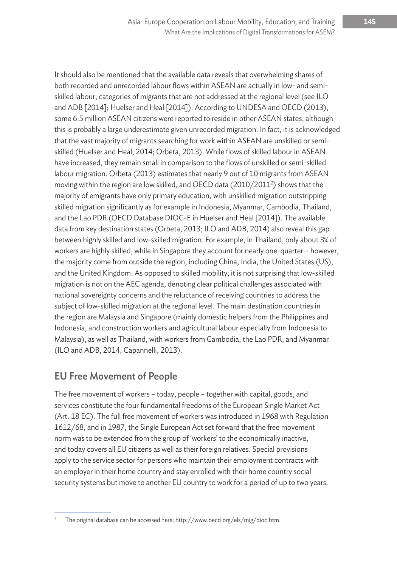It should also be mentioned that the available data reveals that overwhelming shares of both recorded and unrecorded labour flows within ASEAN are actually in low- and semiskilled labour, categories of migrants that are not addressed at the regional level (see ILO and ADB [2014]; Huelser and Heal [2014]). According to UNDESA and OECD (2013), some 6.5 million ASEAN citizens were reported to reside in other ASEAN states, although this is probably a large underestimate given unrecorded migration. In fact, it is acknowledged that the vast majority of migrants searching for work within ASEAN are unskilled or semiskilled (Huelser and Heal, 2014; Orbeta, 2013). While flows of skilled labour in ASEAN have increased, they remain small in comparison to the flows of unskilled or semi-skilled labour migration. Orbeta (2013) estimates that nearly 9 out of 10 migrants from ASEAN moving within the region are low skilled, and OECD data (2010/2011<sup>2</sup>) shows that the majority of emigrants have only primary education, with unskilled migration outstripping skilled migration significantly as for example in Indonesia, Myanmar, Cambodia, Thailand, and the Lao PDR (OECD Database DIOC-E in Huelser and Heal [2014]). The available data from key destination states (Orbeta, 2013; ILO and ADB, 2014) also reveal this gap between highly skilled and low-skilled migration. For example, in Thailand, only about 3% of workers are highly skilled, while in Singapore they account for nearly one-quarter – however, the majority come from outside the region, including China, India, the United States (US), and the United Kingdom. As opposed to skilled mobility, it is not surprising that low-skilled migration is not on the AEC agenda, denoting clear political challenges associated with national sovereignty concerns and the reluctance of receiving countries to address the subject of low-skilled migration at the regional level. The main destination countries in the region are Malaysia and Singapore (mainly domestic helpers from the Philippines and Indonesia, and construction workers and agricultural labour especially from Indonesia to Malaysia), as well as Thailand, with workers from Cambodia, the Lao PDR, and Myanmar (ILO and ADB, 2014; Capannelli, 2013).

#### EU Free Movement of People

The free movement of workers – today, people – together with capital, goods, and services constitute the four fundamental freedoms of the European Single Market Act (Art. 18 EC). The full free movement of workers was introduced in 1968 with Regulation 1612/68, and in 1987, the Single European Act set forward that the free movement norm was to be extended from the group of 'workers' to the economically inactive, and today covers all EU citizens as well as their foreign relatives. Special provisions apply to the service sector for persons who maintain their employment contracts with an employer in their home country and stay enrolled with their home country social security systems but move to another EU country to work for a period of up to two years.

<sup>&</sup>lt;sup>2</sup> The original database can be accessed here: http://www.oecd.org/els/mig/dioc.htm.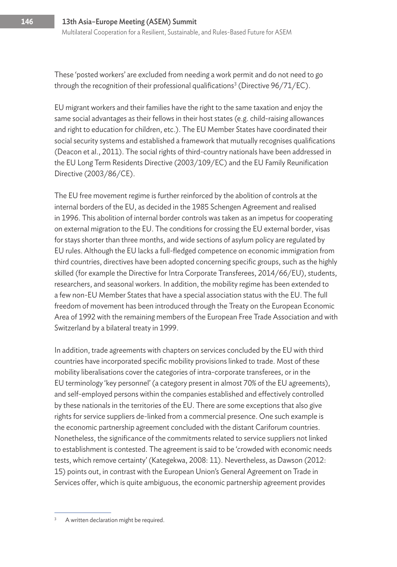These 'posted workers' are excluded from needing a work permit and do not need to go through the recognition of their professional qualifications<sup>3</sup> (Directive 96/71/EC).

EU migrant workers and their families have the right to the same taxation and enjoy the same social advantages as their fellows in their host states (e.g. child-raising allowances and right to education for children, etc.). The EU Member States have coordinated their social security systems and established a framework that mutually recognises qualifications (Deacon et al., 2011). The social rights of third-country nationals have been addressed in the EU Long Term Residents Directive (2003/109/EC) and the EU Family Reunification Directive (2003/86/CE).

The EU free movement regime is further reinforced by the abolition of controls at the internal borders of the EU, as decided in the 1985 Schengen Agreement and realised in 1996. This abolition of internal border controls was taken as an impetus for cooperating on external migration to the EU. The conditions for crossing the EU external border, visas for stays shorter than three months, and wide sections of asylum policy are regulated by EU rules. Although the EU lacks a full-fledged competence on economic immigration from third countries, directives have been adopted concerning specific groups, such as the highly skilled (for example the Directive for Intra Corporate Transferees, 2014/66/EU), students, researchers, and seasonal workers. In addition, the mobility regime has been extended to a few non-EU Member States that have a special association status with the EU. The full freedom of movement has been introduced through the Treaty on the European Economic Area of 1992 with the remaining members of the European Free Trade Association and with Switzerland by a bilateral treaty in 1999.

In addition, trade agreements with chapters on services concluded by the EU with third countries have incorporated specific mobility provisions linked to trade. Most of these mobility liberalisations cover the categories of intra-corporate transferees, or in the EU terminology 'key personnel' (a category present in almost 70% of the EU agreements), and self-employed persons within the companies established and effectively controlled by these nationals in the territories of the EU. There are some exceptions that also give rights for service suppliers de-linked from a commercial presence. One such example is the economic partnership agreement concluded with the distant Cariforum countries. Nonetheless, the significance of the commitments related to service suppliers not linked to establishment is contested. The agreement is said to be 'crowded with economic needs tests, which remove certainty' (Kategekwa, 2008: 11). Nevertheless, as Dawson (2012: 15) points out, in contrast with the European Union's General Agreement on Trade in Services offer, which is quite ambiguous, the economic partnership agreement provides

A written declaration might be required.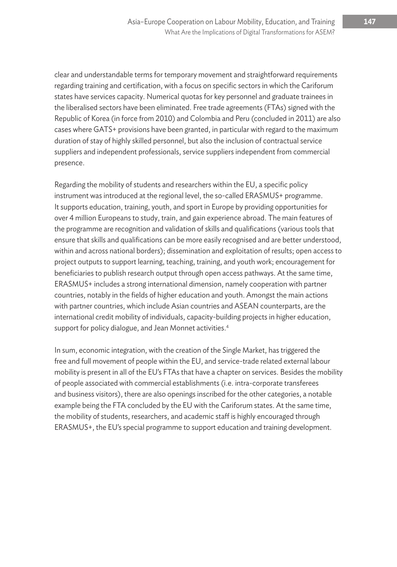clear and understandable terms for temporary movement and straightforward requirements regarding training and certification, with a focus on specific sectors in which the Cariforum states have services capacity. Numerical quotas for key personnel and graduate trainees in the liberalised sectors have been eliminated. Free trade agreements (FTAs) signed with the Republic of Korea (in force from 2010) and Colombia and Peru (concluded in 2011) are also cases where GATS+ provisions have been granted, in particular with regard to the maximum duration of stay of highly skilled personnel, but also the inclusion of contractual service suppliers and independent professionals, service suppliers independent from commercial presence.

Regarding the mobility of students and researchers within the EU, a specific policy instrument was introduced at the regional level, the so-called ERASMUS+ programme. It supports education, training, youth, and sport in Europe by providing opportunities for over 4 million Europeans to study, train, and gain experience abroad. The main features of the programme are recognition and validation of skills and qualifications (various tools that ensure that skills and qualifications can be more easily recognised and are better understood, within and across national borders); dissemination and exploitation of results; open access to project outputs to support learning, teaching, training, and youth work; encouragement for beneficiaries to publish research output through open access pathways. At the same time, ERASMUS+ includes a strong international dimension, namely cooperation with partner countries, notably in the fields of higher education and youth. Amongst the main actions with partner countries, which include Asian countries and ASEAN counterparts, are the international credit mobility of individuals, capacity-building projects in higher education, support for policy dialogue, and Jean Monnet activities.<sup>4</sup>

In sum, economic integration, with the creation of the Single Market, has triggered the free and full movement of people within the EU, and service-trade related external labour mobility is present in all of the EU's FTAs that have a chapter on services. Besides the mobility of people associated with commercial establishments (i.e. intra-corporate transferees and business visitors), there are also openings inscribed for the other categories, a notable example being the FTA concluded by the EU with the Cariforum states. At the same time, the mobility of students, researchers, and academic staff is highly encouraged through ERASMUS+, the EU's special programme to support education and training development.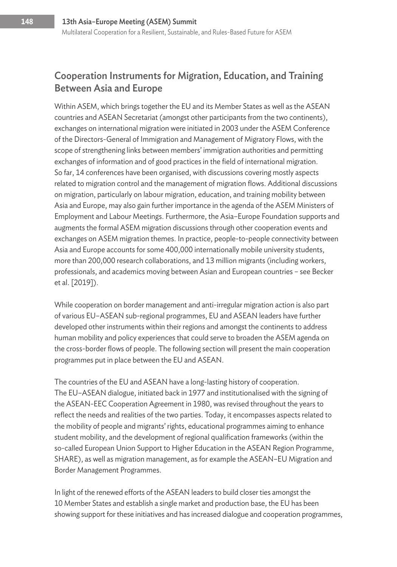#### Cooperation Instruments for Migration, Education, and Training Between Asia and Europe

Within ASEM, which brings together the EU and its Member States as well as the ASEAN countries and ASEAN Secretariat (amongst other participants from the two continents), exchanges on international migration were initiated in 2003 under the ASEM Conference of the Directors-General of Immigration and Management of Migratory Flows, with the scope of strengthening links between members' immigration authorities and permitting exchanges of information and of good practices in the field of international migration. So far, 14 conferences have been organised, with discussions covering mostly aspects related to migration control and the management of migration flows. Additional discussions on migration, particularly on labour migration, education, and training mobility between Asia and Europe, may also gain further importance in the agenda of the ASEM Ministers of Employment and Labour Meetings. Furthermore, the Asia–Europe Foundation supports and augments the formal ASEM migration discussions through other cooperation events and exchanges on ASEM migration themes. In practice, people-to-people connectivity between Asia and Europe accounts for some 400,000 internationally mobile university students, more than 200,000 research collaborations, and 13 million migrants (including workers, professionals, and academics moving between Asian and European countries – see Becker et al. [2019]).

While cooperation on border management and anti-irregular migration action is also part of various EU–ASEAN sub-regional programmes, EU and ASEAN leaders have further developed other instruments within their regions and amongst the continents to address human mobility and policy experiences that could serve to broaden the ASEM agenda on the cross-border flows of people. The following section will present the main cooperation programmes put in place between the EU and ASEAN.

The countries of the EU and ASEAN have a long-lasting history of cooperation. The EU–ASEAN dialogue, initiated back in 1977 and institutionalised with the signing of the ASEAN-EEC Cooperation Agreement in 1980, was revised throughout the years to reflect the needs and realities of the two parties. Today, it encompasses aspects related to the mobility of people and migrants' rights, educational programmes aiming to enhance student mobility, and the development of regional qualification frameworks (within the so-called European Union Support to Higher Education in the ASEAN Region Programme, SHARE), as well as migration management, as for example the ASEAN–EU Migration and Border Management Programmes.

In light of the renewed efforts of the ASEAN leaders to build closer ties amongst the 10 Member States and establish a single market and production base, the EU has been showing support for these initiatives and has increased dialogue and cooperation programmes,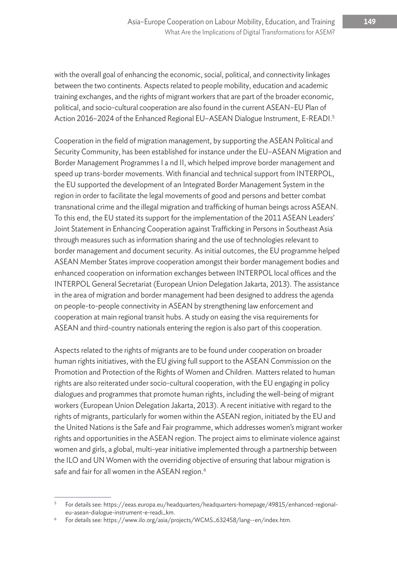with the overall goal of enhancing the economic, social, political, and connectivity linkages between the two continents. Aspects related to people mobility, education and academic training exchanges, and the rights of migrant workers that are part of the broader economic, political, and socio-cultural cooperation are also found in the current ASEAN–EU Plan of Action 2016–2024 of the Enhanced Regional EU-ASEAN Dialogue Instrument, E-READI.<sup>5</sup>

Cooperation in the field of migration management, by supporting the ASEAN Political and Security Community, has been established for instance under the EU–ASEAN Migration and Border Management Programmes I a nd II, which helped improve border management and speed up trans-border movements. With financial and technical support from INTERPOL, the EU supported the development of an Integrated Border Management System in the region in order to facilitate the legal movements of good and persons and better combat transnational crime and the illegal migration and trafficking of human beings across ASEAN. To this end, the EU stated its support for the implementation of the 2011 ASEAN Leaders' Joint Statement in Enhancing Cooperation against Trafficking in Persons in Southeast Asia through measures such as information sharing and the use of technologies relevant to border management and document security. As initial outcomes, the EU programme helped ASEAN Member States improve cooperation amongst their border management bodies and enhanced cooperation on information exchanges between INTERPOL local offices and the INTERPOL General Secretariat (European Union Delegation Jakarta, 2013). The assistance in the area of migration and border management had been designed to address the agenda on people-to-people connectivity in ASEAN by strengthening law enforcement and cooperation at main regional transit hubs. A study on easing the visa requirements for ASEAN and third-country nationals entering the region is also part of this cooperation.

Aspects related to the rights of migrants are to be found under cooperation on broader human rights initiatives, with the EU giving full support to the ASEAN Commission on the Promotion and Protection of the Rights of Women and Children. Matters related to human rights are also reiterated under socio-cultural cooperation, with the EU engaging in policy dialogues and programmes that promote human rights, including the well-being of migrant workers (European Union Delegation Jakarta, 2013). A recent initiative with regard to the rights of migrants, particularly for women within the ASEAN region, initiated by the EU and the United Nations is the Safe and Fair programme, which addresses women's migrant worker rights and opportunities in the ASEAN region. The project aims to eliminate violence against women and girls, a global, multi-year initiative implemented through a partnership between the ILO and UN Women with the overriding objective of ensuring that labour migration is safe and fair for all women in the ASEAN region.<sup>6</sup>

<sup>5</sup> For details see: https://eeas.europa.eu/headquarters/headquarters-homepage/49815/enhanced-regionaleu-asean-dialogue-instrument-e-readi\_km.

<sup>6</sup> For details see: https://www.ilo.org/asia/projects/WCMS\_632458/lang--en/index.htm.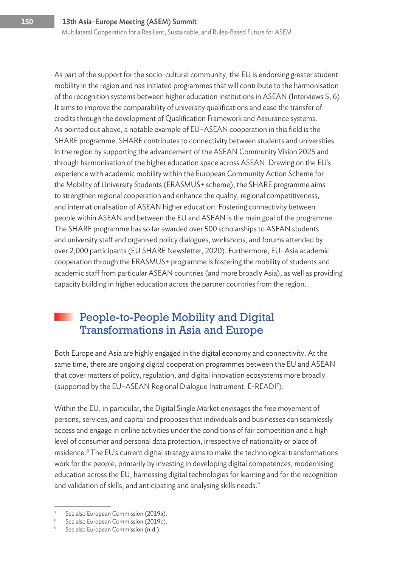As part of the support for the socio-cultural community, the EU is endorsing greater student mobility in the region and has initiated programmes that will contribute to the harmonisation of the recognition systems between higher education institutions in ASEAN (Interviews 5, 6). It aims to improve the comparability of university qualifications and ease the transfer of credits through the development of Qualification Framework and Assurance systems. As pointed out above, a notable example of EU–ASEAN cooperation in this field is the SHARE programme. SHARE contributes to connectivity between students and universities in the region by supporting the advancement of the ASEAN Community Vision 2025 and through harmonisation of the higher education space across ASEAN. Drawing on the EU's experience with academic mobility within the European Community Action Scheme for the Mobility of University Students (ERASMUS+ scheme), the SHARE programme aims to strengthen regional cooperation and enhance the quality, regional competitiveness, and internationalisation of ASEAN higher education. Fostering connectivity between people within ASEAN and between the EU and ASEAN is the main goal of the programme. The SHARE programme has so far awarded over 500 scholarships to ASEAN students and university staff and organised policy dialogues, workshops, and forums attended by over 2,000 participants (EU SHARE Newsletter, 2020). Furthermore, EU–Asia academic cooperation through the ERASMUS+ programme is fostering the mobility of students and academic staff from particular ASEAN countries (and more broadly Asia), as well as providing capacity building in higher education across the partner countries from the region.

#### People-to-People Mobility and Digital Transformations in Asia and Europe

Both Europe and Asia are highly engaged in the digital economy and connectivity. At the same time, there are ongoing digital cooperation programmes between the EU and ASEAN that cover matters of policy, regulation, and digital innovation ecosystems more broadly (supported by the EU–ASEAN Regional Dialogue Instrument, E-READI7 ).

Within the EU, in particular, the Digital Single Market envisages the free movement of persons, services, and capital and proposes that individuals and businesses can seamlessly access and engage in online activities under the conditions of fair competition and a high level of consumer and personal data protection, irrespective of nationality or place of residence.<sup>8</sup> The EU's current digital strategy aims to make the technological transformations work for the people, primarily by investing in developing digital competences, modernising education across the EU, harnessing digital technologies for learning and for the recognition and validation of skills, and anticipating and analysing skills needs.<sup>9</sup>

See also European Commission (2019a).

<sup>&</sup>lt;sup>8</sup> See also European Commission (2019b).

<sup>&</sup>lt;sup>9</sup> See also European Commission (n.d.).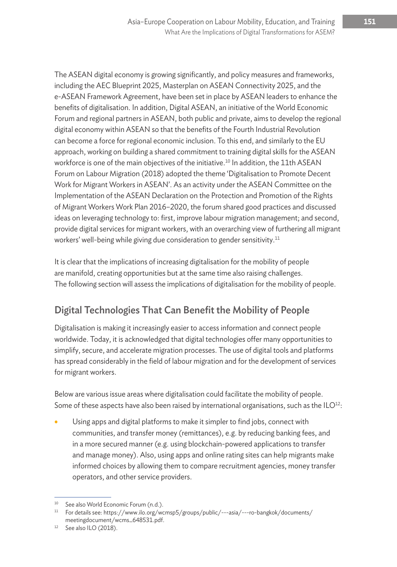The ASEAN digital economy is growing significantly, and policy measures and frameworks, including the AEC Blueprint 2025, Masterplan on ASEAN Connectivity 2025, and the e-ASEAN Framework Agreement, have been set in place by ASEAN leaders to enhance the benefits of digitalisation. In addition, Digital ASEAN, an initiative of the World Economic Forum and regional partners in ASEAN, both public and private, aims to develop the regional digital economy within ASEAN so that the benefits of the Fourth Industrial Revolution can become a force for regional economic inclusion. To this end, and similarly to the EU approach, working on building a shared commitment to training digital skills for the ASEAN workforce is one of the main objectives of the initiative.<sup>10</sup> In addition, the 11th ASEAN Forum on Labour Migration (2018) adopted the theme 'Digitalisation to Promote Decent Work for Migrant Workers in ASEAN'. As an activity under the ASEAN Committee on the Implementation of the ASEAN Declaration on the Protection and Promotion of the Rights of Migrant Workers Work Plan 2016–2020, the forum shared good practices and discussed ideas on leveraging technology to: first, improve labour migration management; and second, provide digital services for migrant workers, with an overarching view of furthering all migrant workers' well-being while giving due consideration to gender sensitivity.<sup>11</sup>

It is clear that the implications of increasing digitalisation for the mobility of people are manifold, creating opportunities but at the same time also raising challenges. The following section will assess the implications of digitalisation for the mobility of people.

### Digital Technologies That Can Benefit the Mobility of People

Digitalisation is making it increasingly easier to access information and connect people worldwide. Today, it is acknowledged that digital technologies offer many opportunities to simplify, secure, and accelerate migration processes. The use of digital tools and platforms has spread considerably in the field of labour migration and for the development of services for migrant workers.

Below are various issue areas where digitalisation could facilitate the mobility of people. Some of these aspects have also been raised by international organisations, such as the  $ILO<sup>12</sup>$ :

Using apps and digital platforms to make it simpler to find jobs, connect with communities, and transfer money (remittances), e.g. by reducing banking fees, and in a more secured manner (e.g. using blockchain-powered applications to transfer and manage money). Also, using apps and online rating sites can help migrants make informed choices by allowing them to compare recruitment agencies, money transfer operators, and other service providers.

<sup>&</sup>lt;sup>10</sup> See also World Economic Forum (n.d.).

<sup>&</sup>lt;sup>11</sup> For details see: https://www.ilo.org/wcmsp5/groups/public/---asia/---ro-bangkok/documents/ meetingdocument/wcms\_648531.pdf.

 $12$  See also ILO (2018).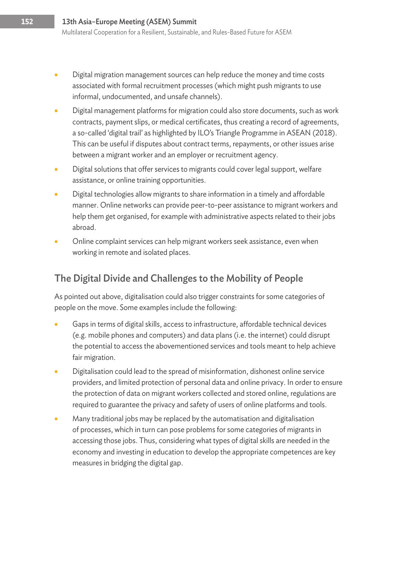- Digital migration management sources can help reduce the money and time costs associated with formal recruitment processes (which might push migrants to use informal, undocumented, and unsafe channels).
- Digital management platforms for migration could also store documents, such as work contracts, payment slips, or medical certificates, thus creating a record of agreements, a so-called 'digital trail' as highlighted by ILO's Triangle Programme in ASEAN (2018). This can be useful if disputes about contract terms, repayments, or other issues arise between a migrant worker and an employer or recruitment agency.
- Digital solutions that offer services to migrants could cover legal support, welfare assistance, or online training opportunities.
- Digital technologies allow migrants to share information in a timely and affordable manner. Online networks can provide peer-to-peer assistance to migrant workers and help them get organised, for example with administrative aspects related to their jobs abroad.
- Online complaint services can help migrant workers seek assistance, even when working in remote and isolated places.

#### The Digital Divide and Challenges to the Mobility of People

As pointed out above, digitalisation could also trigger constraints for some categories of people on the move. Some examples include the following:

- Gaps in terms of digital skills, access to infrastructure, affordable technical devices (e.g. mobile phones and computers) and data plans (i.e. the internet) could disrupt the potential to access the abovementioned services and tools meant to help achieve fair migration.
- Digitalisation could lead to the spread of misinformation, dishonest online service providers, and limited protection of personal data and online privacy. In order to ensure the protection of data on migrant workers collected and stored online, regulations are required to guarantee the privacy and safety of users of online platforms and tools.
- Many traditional jobs may be replaced by the automatisation and digitalisation of processes, which in turn can pose problems for some categories of migrants in accessing those jobs. Thus, considering what types of digital skills are needed in the economy and investing in education to develop the appropriate competences are key measures in bridging the digital gap.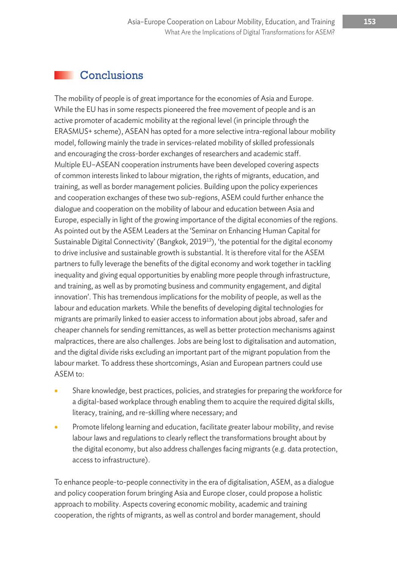#### **Conclusions**

The mobility of people is of great importance for the economies of Asia and Europe. While the EU has in some respects pioneered the free movement of people and is an active promoter of academic mobility at the regional level (in principle through the ERASMUS+ scheme), ASEAN has opted for a more selective intra-regional labour mobility model, following mainly the trade in services-related mobility of skilled professionals and encouraging the cross-border exchanges of researchers and academic staff. Multiple EU–ASEAN cooperation instruments have been developed covering aspects of common interests linked to labour migration, the rights of migrants, education, and training, as well as border management policies. Building upon the policy experiences and cooperation exchanges of these two sub-regions, ASEM could further enhance the dialogue and cooperation on the mobility of labour and education between Asia and Europe, especially in light of the growing importance of the digital economies of the regions. As pointed out by the ASEM Leaders at the 'Seminar on Enhancing Human Capital for Sustainable Digital Connectivity' (Bangkok, 2019<sup>13</sup>), 'the potential for the digital economy to drive inclusive and sustainable growth is substantial. It is therefore vital for the ASEM partners to fully leverage the benefits of the digital economy and work together in tackling inequality and giving equal opportunities by enabling more people through infrastructure, and training, as well as by promoting business and community engagement, and digital innovation'. This has tremendous implications for the mobility of people, as well as the labour and education markets. While the benefits of developing digital technologies for migrants are primarily linked to easier access to information about jobs abroad, safer and cheaper channels for sending remittances, as well as better protection mechanisms against malpractices, there are also challenges. Jobs are being lost to digitalisation and automation, and the digital divide risks excluding an important part of the migrant population from the labour market. To address these shortcomings, Asian and European partners could use ASEM to:

- Share knowledge, best practices, policies, and strategies for preparing the workforce for a digital-based workplace through enabling them to acquire the required digital skills, literacy, training, and re-skilling where necessary; and
- Promote lifelong learning and education, facilitate greater labour mobility, and revise labour laws and regulations to clearly reflect the transformations brought about by the digital economy, but also address challenges facing migrants (e.g. data protection, access to infrastructure).

To enhance people-to-people connectivity in the era of digitalisation, ASEM, as a dialogue and policy cooperation forum bringing Asia and Europe closer, could propose a holistic approach to mobility. Aspects covering economic mobility, academic and training cooperation, the rights of migrants, as well as control and border management, should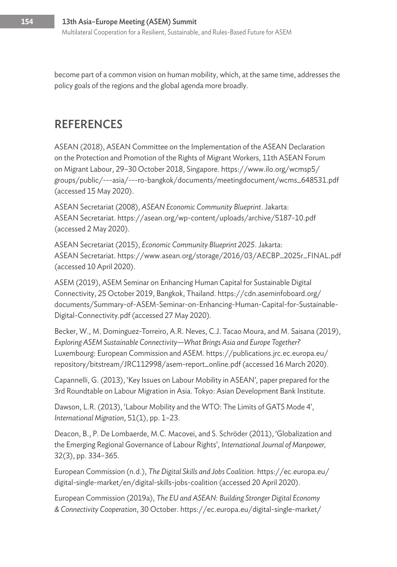become part of a common vision on human mobility, which, at the same time, addresses the policy goals of the regions and the global agenda more broadly.

## **REFERENCES**

ASEAN (2018), ASEAN Committee on the Implementation of the ASEAN Declaration on the Protection and Promotion of the Rights of Migrant Workers, 11th ASEAN Forum on Migrant Labour, 29–30 October 2018, Singapore. https://www.ilo.org/wcmsp5/ groups/public/---asia/---ro-bangkok/documents/meetingdocument/wcms\_648531.pdf (accessed 15 May 2020).

ASEAN Secretariat (2008), *ASEAN Economic Community Blueprint*. Jakarta: ASEAN Secretariat. https://asean.org/wp-content/uploads/archive/5187-10.pdf (accessed 2 May 2020).

ASEAN Secretariat (2015), *Economic Community Blueprint 2025*. Jakarta: ASEAN Secretariat. https://www.asean.org/storage/2016/03/AECBP\_2025r\_FINAL.pdf (accessed 10 April 2020).

ASEM (2019), ASEM Seminar on Enhancing Human Capital for Sustainable Digital Connectivity, 25 October 2019, Bangkok, Thailand. https://cdn.aseminfoboard.org/ documents/Summary-of-ASEM-Seminar-on-Enhancing-Human-Capital-for-Sustainable-Digital-Connectivity.pdf (accessed 27 May 2020).

Becker, W., M. Dominguez-Torreiro, A.R. Neves, C.J. Tacao Moura, and M. Saisana (2019), *Exploring ASEM Sustainable Connectivity—What Brings Asia and Europe Together?* Luxembourg: European Commission and ASEM. https://publications.jrc.ec.europa.eu/ repository/bitstream/JRC112998/asem-report\_online.pdf (accessed 16 March 2020).

Capannelli, G. (2013), 'Key Issues on Labour Mobility in ASEAN', paper prepared for the 3rd Roundtable on Labour Migration in Asia. Tokyo: Asian Development Bank Institute.

Dawson, L.R. (2013), 'Labour Mobility and the WTO: The Limits of GATS Mode 4', *International Migration*, 51(1), pp. 1–23.

Deacon, B., P. De Lombaerde, M.C. Macovei, and S. Schröder (2011), 'Globalization and the Emerging Regional Governance of Labour Rights', *International Journal of Manpower,* 32(3), pp. 334–365.

European Commission (n.d.), *The Digital Skills and Jobs Coalition*. https://ec.europa.eu/ digital-single-market/en/digital-skills-jobs-coalition (accessed 20 April 2020).

European Commission (2019a), *The EU and ASEAN: Building Stronger Digital Economy & Connectivity Cooperation*, 30 October. https://ec.europa.eu/digital-single-market/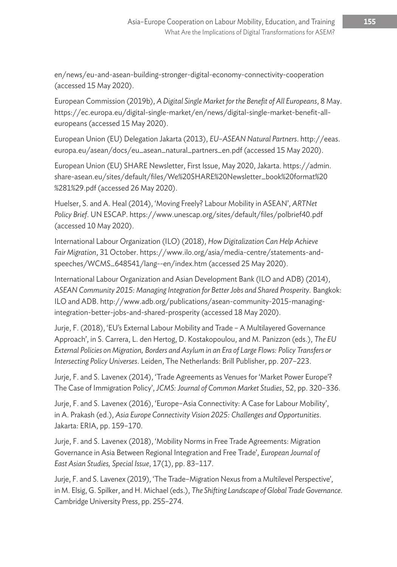en/news/eu-and-asean-building-stronger-digital-economy-connectivity-cooperation (accessed 15 May 2020).

European Commission (2019b), *A Digital Single Market for the Benefit of All Europeans*, 8 May. https://ec.europa.eu/digital-single-market/en/news/digital-single-market-benefit-alleuropeans (accessed 15 May 2020).

European Union (EU) Delegation Jakarta (2013), *EU–ASEAN Natural Partners*. http://eeas. europa.eu/asean/docs/eu\_asean\_natural\_partners\_en.pdf (accessed 15 May 2020).

European Union (EU) SHARE Newsletter, First Issue, May 2020, Jakarta. https://admin. share-asean.eu/sites/default/files/We%20SHARE%20Newsletter\_book%20format%20 %281%29.pdf (accessed 26 May 2020).

Huelser, S. and A. Heal (2014), 'Moving Freely? Labour Mobility in ASEAN', *ARTNet Policy Brief*. UN ESCAP. https://www.unescap.org/sites/default/files/polbrief40.pdf (accessed 10 May 2020).

International Labour Organization (ILO) (2018), *How Digitalization Can Help Achieve Fair Migration*, 31 October. https://www.ilo.org/asia/media-centre/statements-andspeeches/WCMS\_648541/lang--en/index.htm (accessed 25 May 2020).

International Labour Organization and Asian Development Bank (ILO and ADB) (2014), *ASEAN Community 2015: Managing Integration for Better Jobs and Shared Prosperity.* Bangkok: ILO and ADB. http://www.adb.org/publications/asean-community-2015-managingintegration-better-jobs-and-shared-prosperity (accessed 18 May 2020).

Jurje, F. (2018), 'EU's External Labour Mobility and Trade – A Multilayered Governance Approach', in S. Carrera, L. den Hertog, D. Kostakopoulou, and M. Panizzon (eds.), *The EU External Policies on Migration, Borders and Asylum in an Era of Large Flows: Policy Transfers or Intersecting Policy Universes*. Leiden, The Netherlands: Brill Publisher, pp. 207–223.

Jurje, F. and S. Lavenex (2014), 'Trade Agreements as Venues for 'Market Power Europe'? The Case of Immigration Policy', *JCMS: Journal of Common Market Studies*, 52, pp. 320–336.

Jurje, F. and S. Lavenex (2016), 'Europe–Asia Connectivity: A Case for Labour Mobility', in A. Prakash (ed.), *Asia Europe Connectivity Vision 2025: Challenges and Opportunities*. Jakarta: ERIA, pp. 159–170.

Jurje, F. and S. Lavenex (2018), 'Mobility Norms in Free Trade Agreements: Migration Governance in Asia Between Regional Integration and Free Trade', *European Journal of East Asian Studies, Special Issue*, 17(1), pp. 83–117.

Jurje, F. and S. Lavenex (2019), 'The Trade–Migration Nexus from a Multilevel Perspective', in M. Elsig, G. Spilker, and H. Michael (eds.), *The Shifting Landscape of Global Trade Governance*. Cambridge University Press, pp. 255–274.